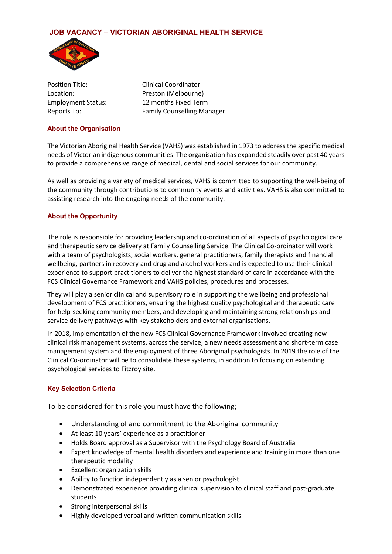# **JOB VACANCY – VICTORIAN ABORIGINAL HEALTH SERVICE**



Position Title: Clinical Coordinator Location: Preston (Melbourne) Employment Status: 12 months Fixed Term Reports To: Family Counselling Manager

#### **About the Organisation**

The Victorian Aboriginal Health Service (VAHS) was established in 1973 to address the specific medical needs of Victorian indigenous communities. The organisation has expanded steadily over past 40 years to provide a comprehensive range of medical, dental and social services for our community.

As well as providing a variety of medical services, VAHS is committed to supporting the well-being of the community through contributions to community events and activities. VAHS is also committed to assisting research into the ongoing needs of the community.

# **About the Opportunity**

The role is responsible for providing leadership and co-ordination of all aspects of psychological care and therapeutic service delivery at Family Counselling Service. The Clinical Co-ordinator will work with a team of psychologists, social workers, general practitioners, family therapists and financial wellbeing, partners in recovery and drug and alcohol workers and is expected to use their clinical experience to support practitioners to deliver the highest standard of care in accordance with the FCS Clinical Governance Framework and VAHS policies, procedures and processes.

They will play a senior clinical and supervisory role in supporting the wellbeing and professional development of FCS practitioners, ensuring the highest quality psychological and therapeutic care for help-seeking community members, and developing and maintaining strong relationships and service delivery pathways with key stakeholders and external organisations.

In 2018, implementation of the new FCS Clinical Governance Framework involved creating new clinical risk management systems, across the service, a new needs assessment and short-term case management system and the employment of three Aboriginal psychologists. In 2019 the role of the Clinical Co-ordinator will be to consolidate these systems, in addition to focusing on extending psychological services to Fitzroy site.

# **Key Selection Criteria**

To be considered for this role you must have the following;

- Understanding of and commitment to the Aboriginal community
- At least 10 years' experience as a practitioner
- Holds Board approval as a Supervisor with the Psychology Board of Australia
- Expert knowledge of mental health disorders and experience and training in more than one therapeutic modality
- Excellent organization skills
- Ability to function independently as a senior psychologist
- Demonstrated experience providing clinical supervision to clinical staff and post-graduate students
- Strong interpersonal skills
- Highly developed verbal and written communication skills